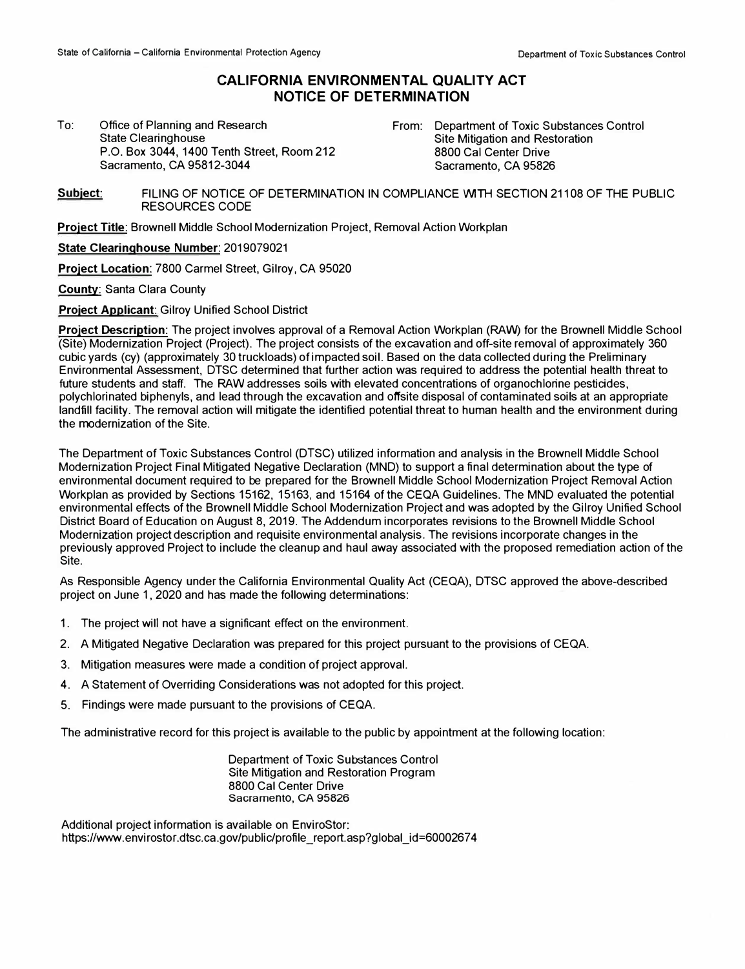## **CALIFORNIA ENVIRONMENTAL QUALITY ACT NOTICE OF DETERMINATION**

To: Office of Planning and Research State Clearinghouse P.O. Box 3044, 1400 Tenth Street, Room 212 Sacramento, CA 95812-3044

From: Department of Toxic Substances Control Site Mitigation and Restoration 8800 Cal Center Drive Sacramento, CA 95826

**Subject:** FILING OF NOTICE OF DETERMINATION IN COMPLIANCE **WITH** SECTION 21108 OF THE PUBLIC RESOURCES CODE

**Project Title:** Brownell Middle School Modernization Project, Removal Action Workplan

**State Clearinghouse Number:** 2019079021

**Project Location:** 7800 Carmel Street, Gilroy, CA 95020

**County:** Santa Clara County

**Project Applicant:** Gilroy Unified School District

**Project Description:** The project involves approval of a Removal Action Workplan (RAW) for the Brownell Middle School (Site) Modernization Project (Project). The project consists of the excavation and off-site removal of approximately 360 cubic yards (cy) (approximately 30 truckloads) of impacted soil. Based on the data collected during the Preliminary Environmental Assessment, DTSC determined that further action was required to address the potential health threat to future students and staff. The RAW addresses soils with elevated concentrations of organochlorine pesticides, polychlorinated biphenyls, and lead through the excavation and offsite disposal of contaminated soils at an appropriate landfill facility. The removal action will mitigate the identified potential threat to human health and the environment during the modernization of the Site.

The Department of Toxic Substances Control (DTSC) utilized information and analysis in the Brownell Middle School Modernization Project Final Mitigated Negative Declaration (MND) to support a final determination about the type of environmental document required to be prepared for the Brownell Middle School Modernization Project Removal Action Workplan as provided by Sections 15162, 15163, and 15164 of the CEQA Guidelines. The MND evaluated the potential environmental effects of the Brownell Middle School Modernization Project and was adopted by the Gilroy Unified School District Board of Education on August 8, 2019. The Addendum incorporates revisions to the Brownell Middle School Modernization project description and requisite environmental analysis. The revisions incorporate changes in the previously approved Project to include the cleanup and haul away associated with the proposed remediation action of the Site.

As Responsible Agency under the California Environmental Quality Act (CEQA), DTSC approved the above-described project on June 1, 2020 and has made the following determinations:

- 1. The project will not have a significant effect on the environment.
- 2. A Mitigated Negative Declaration was prepared for this project pursuant to the provisions of CEQA.
- 3. Mitigation measures were made a condition of project approval.
- 4. A Statement of Overriding Considerations was not adopted for this project.
- 5. Findings were made pursuant to the provisions of CEQA.

The administrative record for this project is available to the public by appointment at the following location:

Department of Toxic Substances Control Site Mitigation and Restoration Program 8800 Cal Center Drive Sacramento, CA 95826

Additional project information is available on EnviroStor: https://www.envirostor.dtsc.ca.gov/public/profile\_report.asp?global\_id=60002674